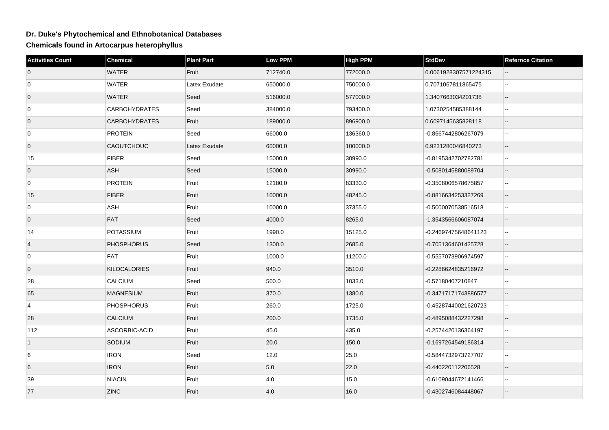## **Dr. Duke's Phytochemical and Ethnobotanical Databases**

**Chemicals found in Artocarpus heterophyllus**

| <b>Activities Count</b> | Chemical             | <b>Plant Part</b> | <b>Low PPM</b> | <b>High PPM</b> | <b>StdDev</b>         | <b>Refernce Citation</b> |
|-------------------------|----------------------|-------------------|----------------|-----------------|-----------------------|--------------------------|
| $\overline{0}$          | <b>WATER</b>         | Fruit             | 712740.0       | 772000.0        | 0.0061928307571224315 |                          |
| 0                       | <b>WATER</b>         | Latex Exudate     | 650000.0       | 750000.0        | 0.7071067811865475    | $\sim$                   |
| $\overline{0}$          | <b>WATER</b>         | Seed              | 516000.0       | 577000.0        | 1.3407663034201738    | $\overline{\phantom{a}}$ |
| 0                       | <b>CARBOHYDRATES</b> | Seed              | 384000.0       | 793400.0        | 1.0730254585388144    | $\sim$                   |
| $\overline{0}$          | <b>CARBOHYDRATES</b> | Fruit             | 189000.0       | 896900.0        | 0.6097145635828118    | $\mathbf{u}$             |
| 0                       | <b>PROTEIN</b>       | Seed              | 66000.0        | 136360.0        | -0.8667442806267079   | Ξ.                       |
| $\overline{0}$          | <b>CAOUTCHOUC</b>    | Latex Exudate     | 60000.0        | 100000.0        | 0.9231280046840273    | $\overline{\phantom{a}}$ |
| 15                      | <b>FIBER</b>         | Seed              | 15000.0        | 30990.0         | -0.8195342702782781   | $\mathbf{u}$             |
| $\overline{0}$          | ASH                  | Seed              | 15000.0        | 30990.0         | -0.5080145880089704   |                          |
| 0                       | <b>PROTEIN</b>       | Fruit             | 12180.0        | 83330.0         | -0.3508006578675857   | $\ddotsc$                |
| 15                      | <b>FIBER</b>         | Fruit             | 10000.0        | 48245.0         | -0.8816634253327269   | $\overline{\phantom{a}}$ |
| $\mathbf 0$             | ASH                  | Fruit             | 10000.0        | 37355.0         | -0.5000070538516518   | $\sim$ $\sim$            |
| $\overline{0}$          | FAT                  | Seed              | 4000.0         | 8265.0          | -1.3543566606087074   |                          |
| 14                      | <b>POTASSIUM</b>     | Fruit             | 1990.0         | 15125.0         | -0.24697475648641123  | $\sim$                   |
| $\overline{4}$          | <b>PHOSPHORUS</b>    | Seed              | 1300.0         | 2685.0          | -0.7051364601425728   | $\sim$                   |
| 0                       | <b>FAT</b>           | Fruit             | 1000.0         | 11200.0         | -0.5557073906974597   | $\sim$                   |
| $\overline{0}$          | <b>KILOCALORIES</b>  | Fruit             | 940.0          | 3510.0          | -0.2286624835216972   | $\overline{\phantom{a}}$ |
| 28                      | CALCIUM              | Seed              | 500.0          | 1033.0          | -0.57180407210847     | $\sim$ $\sim$            |
| 65                      | MAGNESIUM            | Fruit             | 370.0          | 1380.0          | -0.34717171743886577  |                          |
| $\overline{4}$          | <b>PHOSPHORUS</b>    | Fruit             | 260.0          | 1725.0          | -0.45287440021620723  | $\mathbf{L}$             |
| 28                      | <b>CALCIUM</b>       | Fruit             | 200.0          | 1735.0          | -0.4895088432227298   | $\sim$                   |
| 112                     | ASCORBIC-ACID        | Fruit             | 45.0           | 435.0           | -0.2574420136364197   | $\sim$ $\sim$            |
| $\vert$ 1               | SODIUM               | Fruit             | 20.0           | 150.0           | -0.1697264549186314   | $\overline{\phantom{a}}$ |
| 6                       | <b>IRON</b>          | Seed              | 12.0           | 25.0            | -0.5844732973727707   | $\sim$ $\sim$            |
| 6                       | <b>IRON</b>          | Fruit             | 5.0            | 22.0            | -0.440220112206528    | $-$                      |
| 39                      | <b>NIACIN</b>        | Fruit             | 4.0            | 15.0            | -0.6109044672141466   | $\sim$                   |
| 77                      | <b>ZINC</b>          | Fruit             | 4.0            | 16.0            | -0.4302746084448067   |                          |